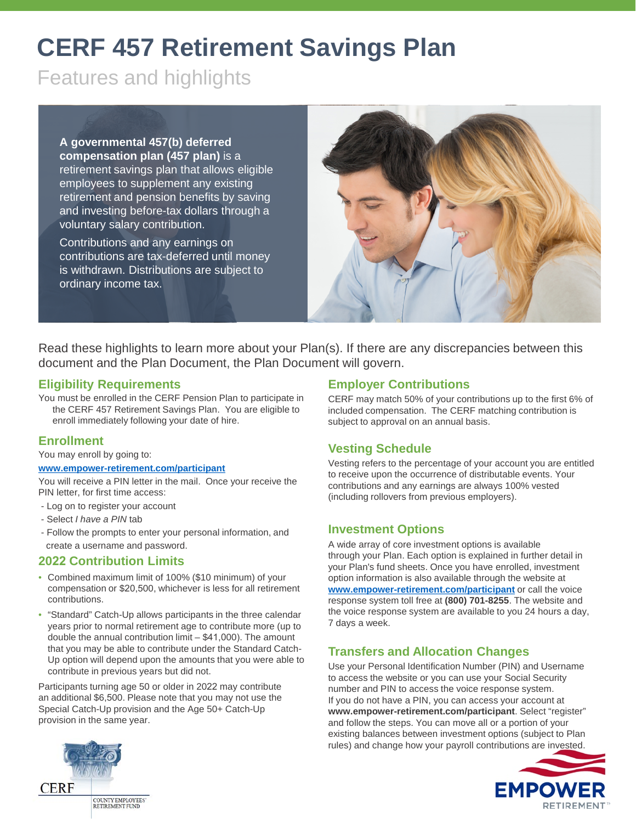# **CERF 457 Retirement Savings Plan**

Features and highlights

**A governmental 457(b) deferred compensation plan (457 plan)** is a retirement savings plan that allows eligible employees to supplement any existing retirement and pension benefits by saving and investing before-tax dollars through a voluntary salary contribution.

Contributions and any earnings on contributions are tax-deferred until money is withdrawn. Distributions are subject to ordinary income tax.



Read these highlights to learn more about your Plan(s). If there are any discrepancies between this document and the Plan Document, the Plan Document will govern.

## **Eligibility Requirements**

You must be enrolled in the CERF Pension Plan to participate in the CERF 457 Retirement Savings Plan. You are eligible to enroll immediately following your date of hire.

#### **Enrollment**

You may enroll by going to:

#### **[www.empower-retirement.com/participant](http://www.empower-retirement.com/participant)**

You will receive a PIN letter in the mail. Once your receive the PIN letter, for first time access:

- Log on to register your account
- Select *I have a PIN* tab
- Follow the prompts to enter your personal information, and create a username and password.

## **2022 Contribution Limits**

- Combined maximum limit of 100% (\$10 minimum) of your compensation or \$20,500, whichever is less for all retirement contributions.
- "Standard" Catch-Up allows participants in the three calendar years prior to normal retirement age to contribute more (up to double the annual contribution limit – \$41,000). The amount that you may be able to contribute under the Standard Catch-Up option will depend upon the amounts that you were able to contribute in previous years but did not.

Participants turning age 50 or older in 2022 may contribute an additional \$6,500. Please note that you may not use the Special Catch-Up provision and the Age 50+ Catch-Up provision in the same year.

## **Employer Contributions**

CERF may match 50% of your contributions up to the first 6% of included compensation. The CERF matching contribution is subject to approval on an annual basis.

## **Vesting Schedule**

Vesting refers to the percentage of your account you are entitled to receive upon the occurrence of distributable events. Your contributions and any earnings are always 100% vested (including rollovers from previous employers).

#### **Investment Options**

A wide array of core investment options is available through your Plan. Each option is explained in further detail in your Plan's fund sheets. Once you have enrolled, investment option information is also available through the website at **[www.empower-retirement.com/participant](http://www.empower-retirement.com/participant)** or call the voice response system toll free at **(800) 701-8255**. The website and the voice response system are available to you 24 hours a day, 7 days a week.

## **Transfers and Allocation Changes**

Use your Personal Identification Number (PIN) and Username to access the website or you can use your Social Security number and PIN to access the voice response system. If you do not have a PIN, you can access your account at **www.empower-retirement.com/participant**. Select "register" and follow the steps. You can move all or a portion of your existing balances between investment options (subject to Plan rules) and change how your payroll contributions are invested.